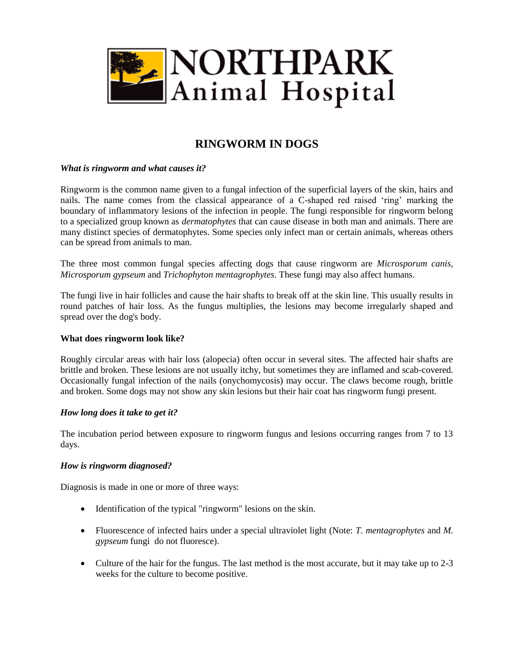

# **RINGWORM IN DOGS**

# *What is ringworm and what causes it?*

Ringworm is the common name given to a fungal infection of the superficial layers of the skin, hairs and nails. The name comes from the classical appearance of a C-shaped red raised 'ring' marking the boundary of inflammatory lesions of the infection in people. The fungi responsible for ringworm belong to a specialized group known as *dermatophytes* that can cause disease in both man and animals. There are many distinct species of dermatophytes. Some species only infect man or certain animals, whereas others can be spread from animals to man.

The three most common fungal species affecting dogs that cause ringworm are *Microsporum canis, Microsporum gypseum* and *Trichophyton mentagrophytes*. These fungi may also affect humans.

The fungi live in hair follicles and cause the hair shafts to break off at the skin line. This usually results in round patches of hair loss. As the fungus multiplies, the lesions may become irregularly shaped and spread over the dog's body.

## **What does ringworm look like?**

Roughly circular areas with hair loss (alopecia) often occur in several sites. The affected hair shafts are brittle and broken. These lesions are not usually itchy, but sometimes they are inflamed and scab-covered. Occasionally fungal infection of the nails (onychomycosis) may occur. The claws become rough, brittle and broken. Some dogs may not show any skin lesions but their hair coat has ringworm fungi present.

## *How long does it take to get it?*

The incubation period between exposure to ringworm fungus and lesions occurring ranges from 7 to 13 days.

## *How is ringworm diagnosed?*

Diagnosis is made in one or more of three ways:

- Identification of the typical "ringworm" lesions on the skin.
- Fluorescence of infected hairs under a special ultraviolet light (Note: *T. mentagrophytes* and *M. gypseum* fungi do not fluoresce).
- Culture of the hair for the fungus. The last method is the most accurate, but it may take up to 2-3 weeks for the culture to become positive.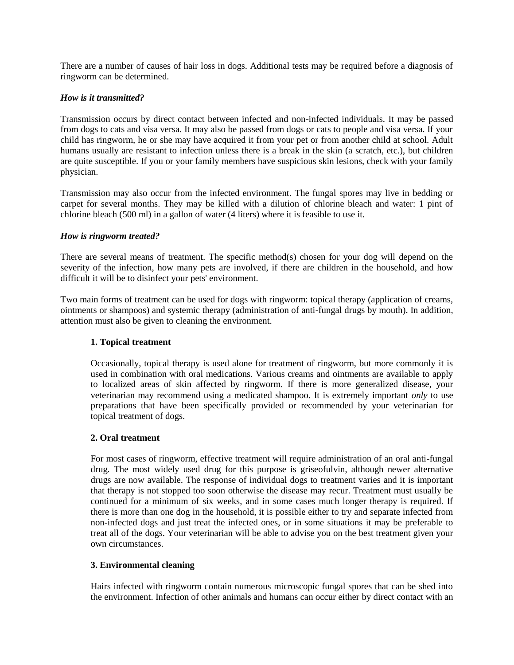There are a number of causes of hair loss in dogs. Additional tests may be required before a diagnosis of ringworm can be determined.

# *How is it transmitted?*

Transmission occurs by direct contact between infected and non-infected individuals. It may be passed from dogs to cats and visa versa. It may also be passed from dogs or cats to people and visa versa. If your child has ringworm, he or she may have acquired it from your pet or from another child at school. Adult humans usually are resistant to infection unless there is a break in the skin (a scratch, etc.), but children are quite susceptible. If you or your family members have suspicious skin lesions, check with your family physician.

Transmission may also occur from the infected environment. The fungal spores may live in bedding or carpet for several months. They may be killed with a dilution of chlorine bleach and water: 1 pint of chlorine bleach (500 ml) in a gallon of water (4 liters) where it is feasible to use it.

## *How is ringworm treated?*

There are several means of treatment. The specific method(s) chosen for your dog will depend on the severity of the infection, how many pets are involved, if there are children in the household, and how difficult it will be to disinfect your pets' environment.

Two main forms of treatment can be used for dogs with ringworm: topical therapy (application of creams, ointments or shampoos) and systemic therapy (administration of anti-fungal drugs by mouth). In addition, attention must also be given to cleaning the environment.

# **1. Topical treatment**

Occasionally, topical therapy is used alone for treatment of ringworm, but more commonly it is used in combination with oral medications. Various creams and ointments are available to apply to localized areas of skin affected by ringworm. If there is more generalized disease, your veterinarian may recommend using a medicated shampoo. It is extremely important *only* to use preparations that have been specifically provided or recommended by your veterinarian for topical treatment of dogs.

## **2. Oral treatment**

For most cases of ringworm, effective treatment will require administration of an oral anti-fungal drug. The most widely used drug for this purpose is griseofulvin, although newer alternative drugs are now available. The response of individual dogs to treatment varies and it is important that therapy is not stopped too soon otherwise the disease may recur. Treatment must usually be continued for a minimum of six weeks, and in some cases much longer therapy is required. If there is more than one dog in the household, it is possible either to try and separate infected from non-infected dogs and just treat the infected ones, or in some situations it may be preferable to treat all of the dogs. Your veterinarian will be able to advise you on the best treatment given your own circumstances.

## **3. Environmental cleaning**

Hairs infected with ringworm contain numerous microscopic fungal spores that can be shed into the environment. Infection of other animals and humans can occur either by direct contact with an